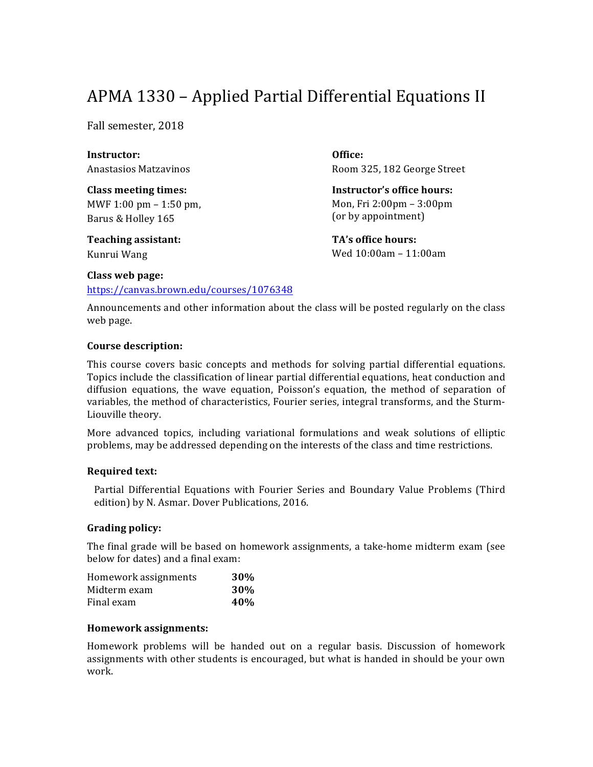# APMA 1330 – Applied Partial Differential Equations II

Fall semester, 2018

**Instructor:** Anastasios Matzavinos

**Class meeting times:** MWF  $1:00 \text{ pm} - 1:50 \text{ pm}$ , Barus & Holley 165

**Teaching assistant:** Kunrui Wang

**Office:** Room 325, 182 George Street

**Instructor's office hours:** Mon, Fri 2:00pm - 3:00pm (or by appointment)

**TA's office hours:** Wed 10:00am - 11:00am

#### **Class web page:**

https://canvas.brown.edu/courses/1076348

Announcements and other information about the class will be posted regularly on the class web page.

## **Course description:**

This course covers basic concepts and methods for solving partial differential equations. Topics include the classification of linear partial differential equations, heat conduction and diffusion equations, the wave equation, Poisson's equation, the method of separation of variables, the method of characteristics, Fourier series, integral transforms, and the Sturm-Liouville theory.

More advanced topics, including variational formulations and weak solutions of elliptic problems, may be addressed depending on the interests of the class and time restrictions.

## **Required text:**

Partial Differential Equations with Fourier Series and Boundary Value Problems (Third edition) by N. Asmar. Dover Publications, 2016.

#### **Grading policy:**

The final grade will be based on homework assignments, a take-home midterm exam (see below for dates) and a final exam:

| Homework assignments | <b>30%</b> |
|----------------------|------------|
| Midterm exam         | <b>30%</b> |
| Final exam           | 40\%       |

## **Homework assignments:**

Homework problems will be handed out on a regular basis. Discussion of homework assignments with other students is encouraged, but what is handed in should be your own work.